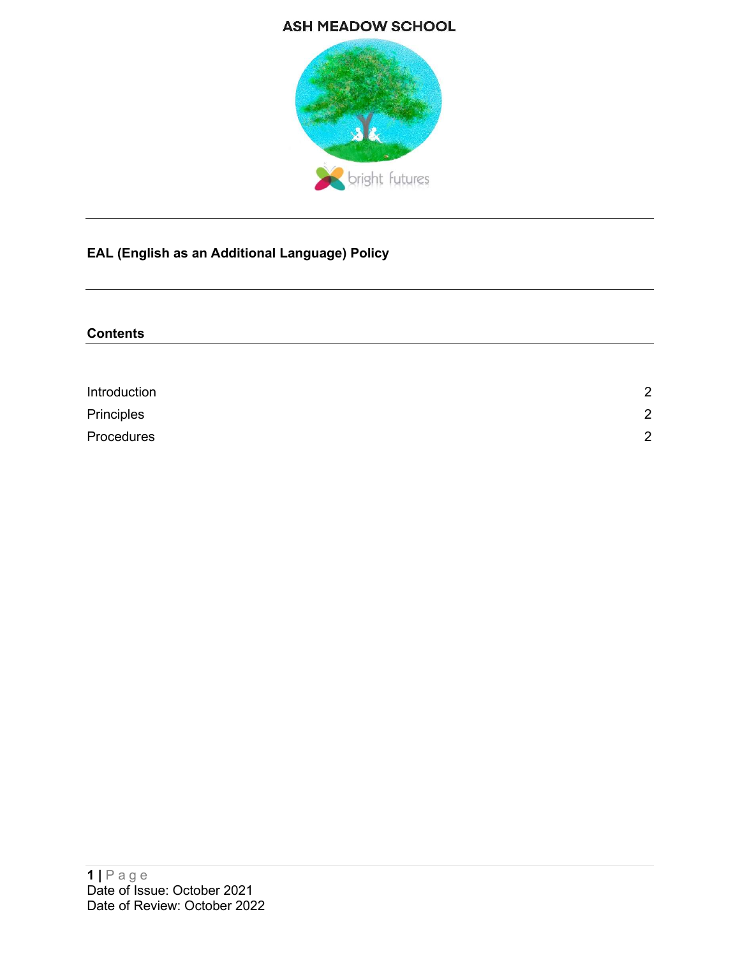# **ASH MEADOW SCHOOL**



# EAL (English as an Additional Language) Policy

| <b>Contents</b> |                |
|-----------------|----------------|
|                 |                |
|                 |                |
| Introduction    | $\overline{2}$ |
| Principles      | $\overline{2}$ |
| Procedures      | $\overline{2}$ |
|                 |                |